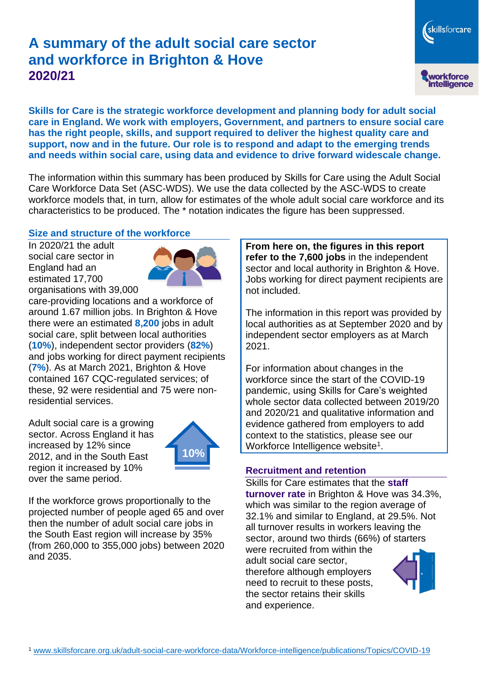# **A summary of the adult social care sector and workforce in Brighton & Hove 2020/21**

skillsforcare workforce<br>intelligence

**Skills for Care is the strategic workforce development and planning body for adult social care in England. We work with employers, Government, and partners to ensure social care has the right people, skills, and support required to deliver the highest quality care and support, now and in the future. Our role is to respond and adapt to the emerging trends and needs within social care, using data and evidence to drive forward widescale change.**

The information within this summary has been produced by Skills for Care using the Adult Social Care Workforce Data Set (ASC-WDS). We use the data collected by the ASC-WDS to create workforce models that, in turn, allow for estimates of the whole adult social care workforce and its characteristics to be produced. The \* notation indicates the figure has been suppressed.

## **Size and structure of the workforce**

In 2020/21 the adult social care sector in England had an estimated 17,700 organisations with 39,000



care-providing locations and a workforce of around 1.67 million jobs. In Brighton & Hove there were an estimated **8,200** jobs in adult social care, split between local authorities (**10%**), independent sector providers (**82%**) and jobs working for direct payment recipients (**7%**). As at March 2021, Brighton & Hove contained 167 CQC-regulated services; of these, 92 were residential and 75 were nonresidential services.

Adult social care is a growing sector. Across England it has increased by 12% since 2012, and in the South East region it increased by 10% over the same period.



If the workforce grows proportionally to the projected number of people aged 65 and over then the number of adult social care jobs in the South East region will increase by 35% (from 260,000 to 355,000 jobs) between 2020 and 2035.

**From here on, the figures in this report refer to the 7,600 jobs** in the independent sector and local authority in Brighton & Hove. Jobs working for direct payment recipients are not included.

The information in this report was provided by local authorities as at September 2020 and by independent sector employers as at March 2021.

For information about changes in the workforce since the start of the COVID-19 pandemic, using Skills for Care's weighted whole sector data collected between 2019/20 and 2020/21 and qualitative information and evidence gathered from employers to add context to the statistics, please see our Workforce Intelligence website<sup>1</sup>.

## **Recruitment and retention**

Skills for Care estimates that the **staff turnover rate** in Brighton & Hove was 34.3%, which was similar to the region average of 32.1% and similar to England, at 29.5%. Not all turnover results in workers leaving the sector, around two thirds (66%) of starters were recruited from within the adult social care sector,

therefore although employers need to recruit to these posts, the sector retains their skills and experience.

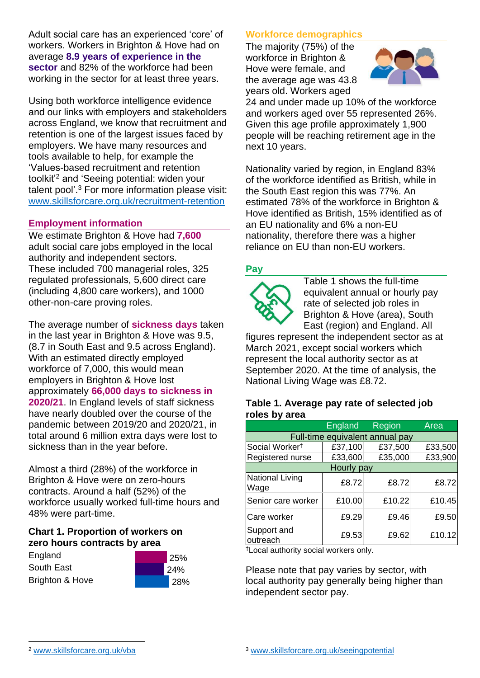Adult social care has an experienced 'core' of workers. Workers in Brighton & Hove had on average **8.9 years of experience in the sector** and 82% of the workforce had been working in the sector for at least three years.

Using both workforce intelligence evidence and our links with employers and stakeholders across England, we know that recruitment and retention is one of the largest issues faced by employers. We have many resources and tools available to help, for example the 'Values-based recruitment and retention toolkit'<sup>2</sup> and 'Seeing potential: widen your talent pool'. <sup>3</sup> For more information please visit: [www.skillsforcare.org.uk/recruitment-retention](http://www.skillsforcare.org.uk/recruitment-retention)

## **Employment information**

We estimate Brighton & Hove had **7,600** adult social care jobs employed in the local authority and independent sectors. These included 700 managerial roles, 325 regulated professionals, 5,600 direct care (including 4,800 care workers), and 1000 other-non-care proving roles.

The average number of **sickness days** taken in the last year in Brighton & Hove was 9.5, (8.7 in South East and 9.5 across England). With an estimated directly employed workforce of 7,000, this would mean employers in Brighton & Hove lost approximately **66,000 days to sickness in 2020/21**. In England levels of staff sickness have nearly doubled over the course of the pandemic between 2019/20 and 2020/21, in total around 6 million extra days were lost to sickness than in the year before.

Almost a third (28%) of the workforce in Brighton & Hove were on zero-hours contracts. Around a half (52%) of the workforce usually worked full-time hours and 48% were part-time.

#### **Chart 1. Proportion of workers on zero hours contracts by area**

| England         |  |
|-----------------|--|
| South East      |  |
| Brighton & Hove |  |



## **Workforce demographics**

The majority (75%) of the workforce in Brighton & Hove were female, and the average age was 43.8 years old. Workers aged



24 and under made up 10% of the workforce and workers aged over 55 represented 26%. Given this age profile approximately 1,900 people will be reaching retirement age in the next 10 years.

Nationality varied by region, in England 83% of the workforce identified as British, while in the South East region this was 77%. An estimated 78% of the workforce in Brighton & Hove identified as British, 15% identified as of an EU nationality and 6% a non-EU nationality, therefore there was a higher reliance on EU than non-EU workers.

#### **Pay**



Table 1 shows the full-time equivalent annual or hourly pay rate of selected job roles in Brighton & Hove (area), South East (region) and England. All

figures represent the independent sector as at March 2021, except social workers which represent the local authority sector as at September 2020. At the time of analysis, the National Living Wage was £8.72.

#### **Table 1. Average pay rate of selected job roles by area**

|                                 | <b>England</b> | Region  | Area    |
|---------------------------------|----------------|---------|---------|
| Full-time equivalent annual pay |                |         |         |
| Social Worker <sup>t</sup>      | £37,100        | £37,500 | £33,500 |
| Registered nurse                | £33,600        | £35,000 | £33,900 |
| Hourly pay                      |                |         |         |
| National Living<br>Wage         | £8.72          | £8.72   | £8.72   |
| Senior care worker              | £10.00         | £10.22  | £10.45  |
| Care worker                     | £9.29          | £9.46   | £9.50   |
| Support and<br>outreach         | £9.53          | £9.62   | £10.12  |

†Local authority social workers only.

Please note that pay varies by sector, with local authority pay generally being higher than independent sector pay.

[www.skillsforcare.org.uk/vba](http://www.skillsforcare.org.uk/vba)